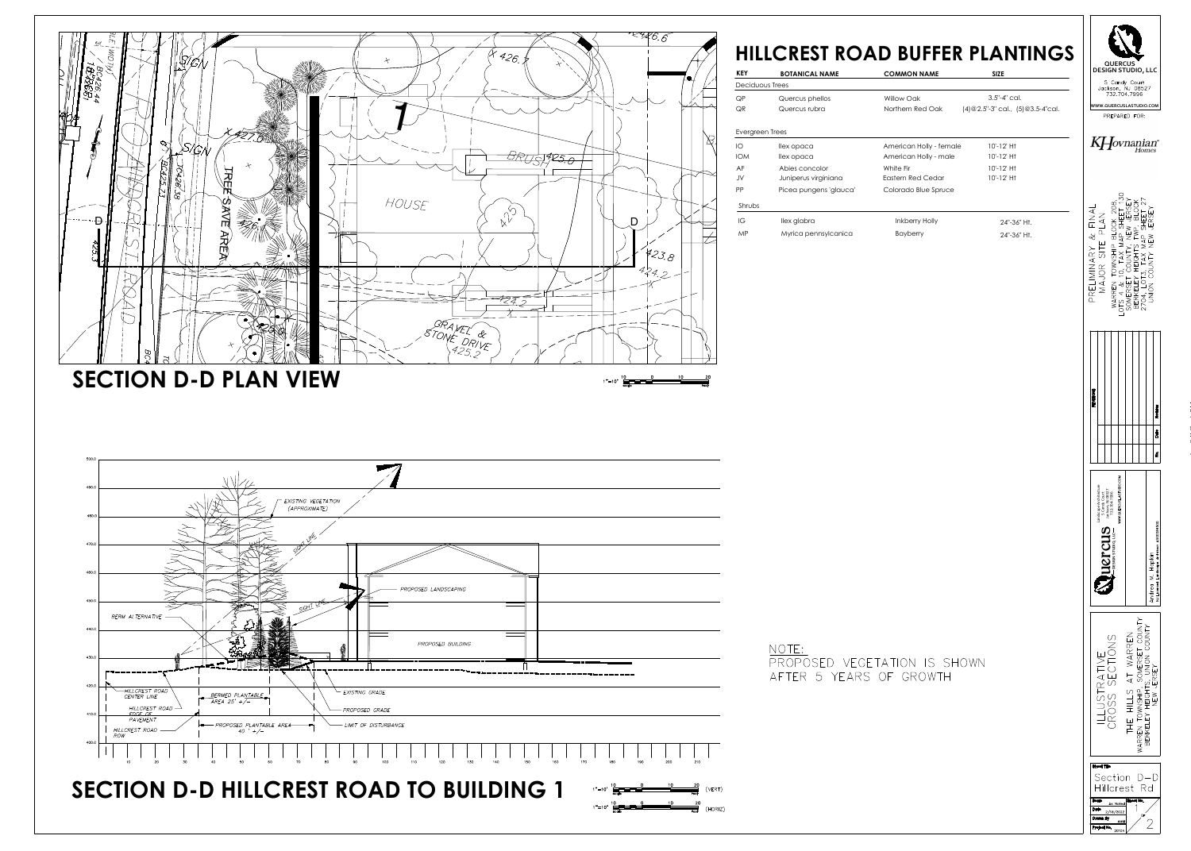



| OAD TO BUILDING |  |  |  |
|-----------------|--|--|--|
|                 |  |  |  |

| PROPOSED LANDSCAPING            |     |     |            |                         |             |     |                                          |
|---------------------------------|-----|-----|------------|-------------------------|-------------|-----|------------------------------------------|
|                                 |     |     |            |                         |             |     |                                          |
| PROPOSED BUILDING               |     |     |            |                         |             |     |                                          |
|                                 |     |     |            |                         |             |     |                                          |
| TING GRADE                      |     |     |            |                         |             |     |                                          |
| OSED GRADE                      |     |     |            |                         |             |     |                                          |
| OF DISTURBANCE                  |     |     |            |                         |             |     |                                          |
| 100<br>110<br>120<br>130<br>140 | 150 | 160 | 170        | 180                     | 190         | 200 | 210                                      |
|                                 |     |     |            |                         |             |     |                                          |
| <b>DAD TO BUILDING 1</b>        |     |     | $1" = 10'$ | $\frac{10}{2}$<br>scale | $\mathbf 0$ | 10  | $\frac{20}{1}$<br>$\overline{C}$<br>feet |

| <b>KEY</b>      | <b>BOTANICAL NAME</b>  | <b>COMMON NAME</b>      | <b>SIZE</b>                            |
|-----------------|------------------------|-------------------------|----------------------------------------|
| Deciduous Trees |                        |                         |                                        |
| QP              | Quercus phellos        | Willow Oak              | $3.5 - 4$ " cal.                       |
| <b>QR</b>       | Quercus rubra          | Northern Red Oak        | $(4)@2.5"$ -3" cal., $(5)@3.5$ -4"cal. |
| Evergreen Trees |                        |                         |                                        |
| IO              | llex opaca             | American Holly - female | $10' - 12'$ Ht                         |
| <b>IOM</b>      | llex opaca             | American Holly - male   | $10' - 12'$ Ht                         |
| AF              | Abies concolor         | White Fir               | $10' - 12'$ Ht                         |
| JV              | Juniperus virginiana   | Eastern Red Cedar       | $10' - 12'$ Ht                         |
| <b>PP</b>       | Picea pungens 'glauca' | Colorado Blue Spruce    |                                        |
| Shrubs          |                        |                         |                                        |
| IG              | llex glabra            | <b>Inkberry Holly</b>   | 24"-36" Ht.                            |
|                 |                        |                         |                                        |

(HORIZ)